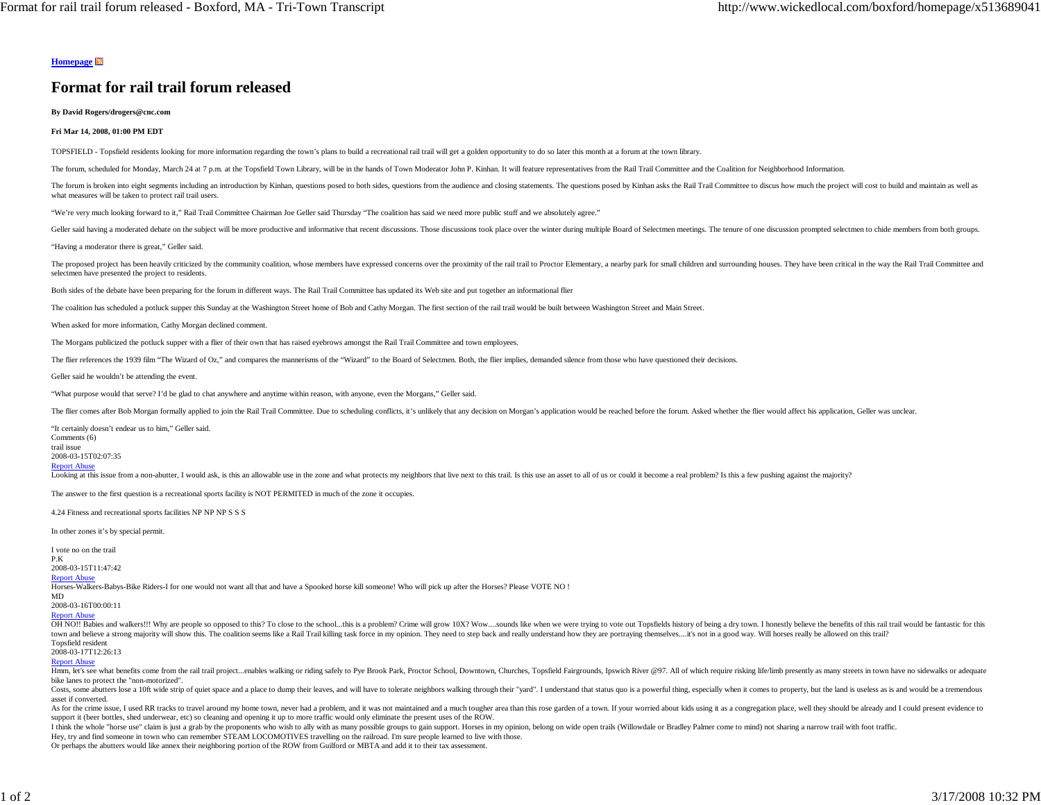### **Homepage**

# **Format for rail trail forum released**

**By David Rogers/drogers@cnc.com**

#### **Fri Mar 14, 2008, 01:00 PM EDT**

TOPSFIELD - Topsfield residents looking for more information regarding the town's plans to build a recreational rail trail will get a golden opportunity to do so later this month at a forum at the town library.

The forum, scheduled for Monday, March 24 at 7 p.m. at the Topsfield Town Library, will be in the hands of Town Moderator John P. Kinhan. It will feature representatives from the Rail Trail Committee and the Coalition for

The forum is broken into eight segments including an introduction by Kinhan, questions posed to both sides, questions from the audience and closing statements. The questions posed by Kinhan asks the Rail Trail Committee to what measures will be taken to protect rail trail users.

"We're very much looking forward to it," Rail Trail Committee Chairman Joe Geller said Thursday "The coalition has said we need more public stuff and we absolutely agree."

Geller said having a moderated debate on the subject will be more productive and informative that recent discussions. Those discussions took place over the winter during multiple Board of Selectmen meetings. The tenure of

"Having a moderator there is great," Geller said.

The proposed project has been heavily criticized by the community coalition, whose members have expressed concerns over the proximity of the rail trail to Proctor Elementary, a nearby park for small children and surroundin selectmen have presented the project to residents.

Both sides of the debate have been preparing for the forum in different ways. The Rail Trail Committee has updated its Web site and put together an informational flier

The coalition has scheduled a potluck supper this Sunday at the Washington Street home of Bob and Cathy Morgan. The first section of the rail trail would be built between Washington Street and Main Street.

When asked for more information, Cathy Morgan declined comment.

The Morgans publicized the potluck supper with a flier of their own that has raised eyebrows amongst the Rail Trail Committee and town employees.

The flier references the 1939 film "The Wizard of Oz," and compares the mannerisms of the "Wizard" to the Board of Selectmen. Both, the flier implies, demanded silence from those who have questioned their decisions.

Geller said he wouldn't be attending the event.

"What purpose would that serve? I'd be glad to chat anywhere and anytime within reason, with anyone, even the Morgans," Geller said.

The flier comes after Bob Morgan formally applied to join the Rail Trail Committee. Due to scheduling conflicts, it's unlikely that any decision on Morgan's application would be reached before the forum. Asked whether the

"It certainly doesn't endear us to him," Geller said. Comments (6) trail issue 2008-03-15T02:07:35 **Report Abuse** Looking at this issue from a non-abutter, I would ask, is this an allowable use in the zone and what protects my neighbors that live next to this trail. Is this ue an asset to all of us or could it become a real problem? I

The answer to the first question is a recreational sports facility is NOT PERMITED in much of the zone it occupies.

4.24 Fitness and recreational sports facilities NP NP NP S S S

In other zones it's by special permit.

I vote no on the trail

P.K 2008-03-15T11:47:42

# Report Abuse

Horses-Walkers-Babys-Bike Riders-I for one would not want all that and have a Spooked horse kill someone! Who will pick up after the Horses? Please VOTE NO !

MD

2008-03-16T00:00:11

## Report Abuse

OH NO!! Babies and walkers!!! Why are people so opposed to this? To close to the school ...this is a problem? Crime will grow 10X? Wow ....sounds like when we were trying to vote out Topsfields history of being a dry town. town and believe a strong majority will show this. The coalition seems like a Rail Trail killing task force in my opinion. They need to step back and really understand how they are portraying themselves....it's not in a go Topsfield resident

2008-03-17T12:26:13

Report Abuse

Hmm, let's see what benefits come from the rail trail project...enables walking or riding safely to Pye Brook Park, Proctor School, Downtown, Churches, Topsfield Fairgrounds, Ipswich River @97. All of which require risking bike lanes to protect the "non-motorized".

Costs, some abutters lose a 10ft wide strip of quiet space and a place to dump their leaves, and will have to tolerate neighbors walking through their "yard". I understand that status quo is a powerful thing, especially wh asset if converted.

As for the crime issue, I used RR tracks to travel around my home town, never had a problem, and it was not maintained and a much tougher area than this rose garden of a town. If your worried about kids using it as a congr support it (beer bottles, shed underwear, etc) so cleaning and opening it up to more traffic would only eliminate the present uses of the ROW.

I think the whole "horse use" claim is just a grab by the proponents who wish to ally with as many possible groups to gain support. Horses in my opinion, belong on wide open trails (Willowdale or Bradley Palmer come to min

Hey, try and find someone in town who can remember STEAM LOCOMOTIVES travelling on the railroad. I'm sure people learned to live with those.

Or perhaps the abutters would like annex their neighboring portion of the ROW from Guilford or MBTA and add it to their tax assessment.